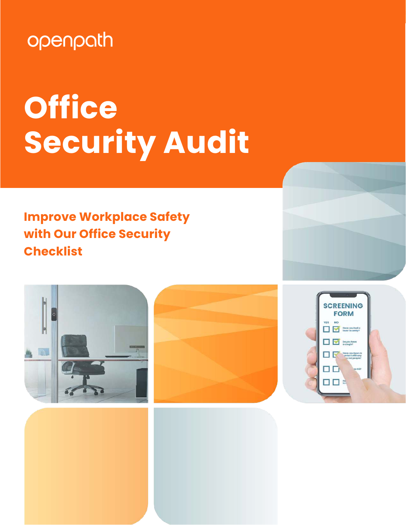## openpath

# **Office Security Audit**

### **Improve Workplace Safety with Our Office Security Checklist**





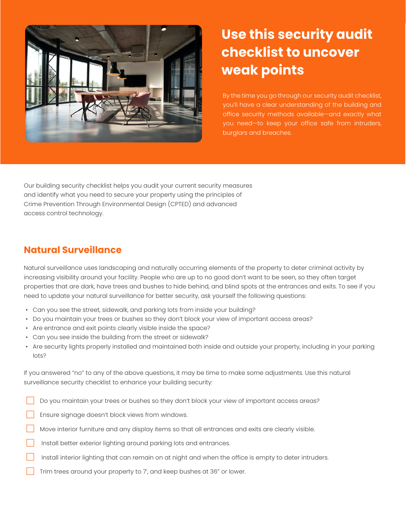

### **Use this security audit checklist to uncover weak points**

By the time you go through our security audit checklist, you'll have a clear understanding of the building and office security methods available—and exactly what you need—to keep your office safe from intruders, burglars and breaches.

Our building security checklist helps you audit your current security measures and identify what you need to secure your property using the principles of Crime Prevention Through Environmental Design (CPTED) and advanced access control technology.

#### **Natural Surveillance**

Natural surveillance uses landscaping and naturally occurring elements of the property to deter criminal activity by increasing visibility around your facility. People who are up to no good don't want to be seen, so they often target properties that are dark, have trees and bushes to hide behind, and blind spots at the entrances and exits. To see if you need to update your natural surveillance for better security, ask yourself the following questions:

- Can you see the street, sidewalk, and parking lots from inside your building?
- Do you maintain your trees or bushes so they don't block your view of important access areas?
- Are entrance and exit points clearly visible inside the space?
- Can you see inside the building from the street or sidewalk?
- Are security lights properly installed and maintained both inside and outside your property, including in your parking lots?

If you answered "no" to any of the above questions, it may be time to make some adjustments. Use this natural surveillance security checklist to enhance your building security:

- Do you maintain your trees or bushes so they don't block your view of important access areas?
- Ensure signage doesn't block views from windows.
- Move interior furniture and any display items so that all entrances and exits are clearly visible.
- Install better exterior lighting around parking lots and entrances.
- Install interior lighting that can remain on at night and when the office is empty to deter intruders.
- Trim trees around your property to 7', and keep bushes at 36" or lower.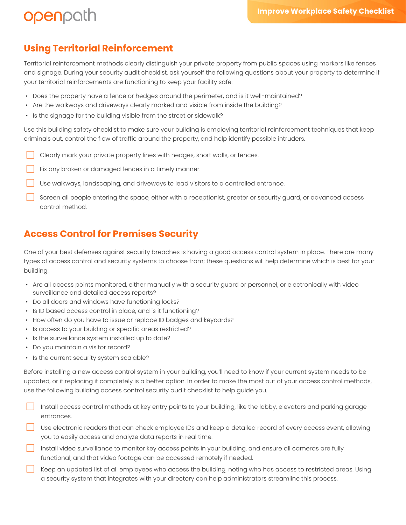#### **Using Territorial Reinforcement**

openpath

Territorial reinforcement methods clearly distinguish your private property from public spaces using markers like fences and signage. During your security audit checklist, ask yourself the following questions about your property to determine if your territorial reinforcements are functioning to keep your facility safe:

- Does the property have a fence or hedges around the perimeter, and is it well-maintained?
- Are the walkways and driveways clearly marked and visible from inside the building?
- Is the signage for the building visible from the street or sidewalk?

Use this building safety checklist to make sure your building is employing territorial reinforcement techniques that keep criminals out, control the flow of traffic around the property, and help identify possible intruders.

- Clearly mark your private property lines with hedges, short walls, or fences.
- Fix any broken or damaged fences in a timely manner.
- Use walkways, landscaping, and driveways to lead visitors to a controlled entrance.
- Screen all people entering the space, either with a receptionist, greeter or security guard, or advanced access control method.

#### **Access Control for Premises Security**

One of your best defenses against security breaches is having a good access control system in place. There are many types of access control and security systems to choose from; these questions will help determine which is best for your building:

- Are all access points monitored, either manually with a security guard or personnel, or electronically with video surveillance and detailed access reports?
- Do all doors and windows have functioning locks?
- Is ID based access control in place, and is it functioning?
- How often do you have to issue or replace ID badges and keycards?
- Is access to your building or specific areas restricted?
- Is the surveillance system installed up to date?
- Do you maintain a visitor record?
- Is the current security system scalable?

Before installing a new access control system in your building, you'll need to know if your current system needs to be updated, or if replacing it completely is a better option. In order to make the most out of your access control methods, use the following building access control security audit checklist to help guide you.

- Install access control methods at key entry points to your building, like the lobby, elevators and parking garage entrances.
- Use electronic readers that can check employee IDs and keep a detailed record of every access event, allowing you to easily access and analyze data reports in real time.
- Install video surveillance to monitor key access points in your building, and ensure all cameras are fully functional, and that video footage can be accessed remotely if needed.
- Keep an updated list of all employees who access the building, noting who has access to restricted areas. Using a security system that integrates with your directory can help administrators streamline this process.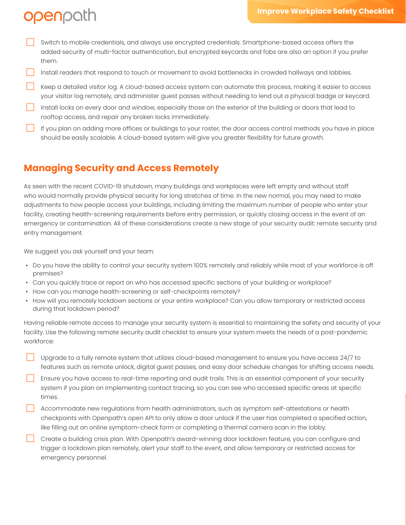### openpath

- Switch to mobile credentials, and always use encrypted credentials. Smartphone-based access offers the added security of multi-factor authentication, but encrypted keycards and fobs are also an option if you prefer them.
- □ Install readers that respond to touch or movement to avoid bottlenecks in crowded hallways and lobbies.
- Keep a detailed visitor log. A cloud-based access system can automate this process, making it easier to access your visitor log remotely, and administer guest passes without needing to lend out a physical badge or keycard.
- Install locks on every door and window, especially those on the exterior of the building or doors that lead to rooftop access, and repair any broken locks immediately.
- If you plan on adding more offices or buildings to your roster, the door access control methods you have in place should be easily scalable. A cloud-based system will give you greater flexibility for future growth.

#### **Managing Security and Access Remotely**

As seen with the recent COVID-19 shutdown, many buildings and workplaces were left empty and without staff who would normally provide physical security for long stretches of time. In the new normal, you may need to make adjustments to how people access your buildings, including limiting the maximum number of people who enter your facility, creating health-screening requirements before entry permission, or quickly closing access in the event of an emergency or contamination. All of these considerations create a new stage of your security audit: remote security and entry management.

We suggest you ask yourself and your team:

- Do you have the ability to control your security system 100% remotely and reliably while most of your workforce is off premises?
- Can you quickly trace or report on who has accessed specific sections of your building or workplace?
- How can you manage health-screening or self-checkpoints remotely?
- How will you remotely lockdown sections or your entire workplace? Can you allow temporary or restricted access during that lockdown period?

Having reliable remote access to manage your security system is essential to maintaining the safety and security of your facility. Use the following remote security audit checklist to ensure your system meets the needs of a post-pandemic workforce:

- Upgrade to a fully remote system that utilizes cloud-based management to ensure you have access 24/7 to features such as remote unlock, digital guest passes, and easy door schedule changes for shifting access needs.
- Ensure you have access to real-time reporting and audit trails. This is an essential component of your security system if you plan on implementing contact tracing, so you can see who accessed specific areas at specific times.
- □ Accommodate new regulations from health administrators, such as symptom self-attestations or health checkpoints with Openpath's open API to only allow a door unlock if the user has completed a specified action, like filling out an online symptom-check form or completing a thermal camera scan in the lobby.
- Create a building crisis plan. With Openpath's award-winning door lockdown feature, you can configure and trigger a lockdown plan remotely, alert your staff to the event, and allow temporary or restricted access for emergency personnel.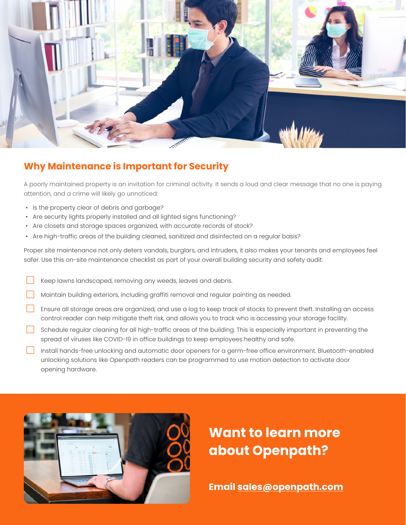

#### **Why Maintenance is Important for Security**

A poorly maintained property is an invitation for criminal activity. It sends a loud and clear message that no one is paying attention, and a crime will likely go unnoticed:

- Is the property clear of debris and garbage?
- Are security lights properly installed and all lighted signs functioning?
- Are closets and storage spaces organized, with accurate records of stock?
- Are high-traffic areas of the building cleaned, sanitized and disinfected on a regular basis?

Proper site maintenance not only deters vandals, burglars, and intruders, it also makes your tenants and employees feel safer. Use this on-site maintenance checklist as part of your overall building security and safety audit:

- Keep lawns landscaped, removing any weeds, leaves and debris.
- Maintain building exteriors, including graffiti removal and regular painting as needed.
- □ Ensure all storage areas are organized, and use a log to keep track of stocks to prevent theft. Installing an access control reader can help mitigate theft risk, and allows you to track who is accessing your storage facility.
- Schedule regular cleaning for all high-traffic areas of the building. This is especially important in preventing the spread of viruses like COVID-19 in office buildings to keep employees healthy and safe.
- Install hands-free unlocking and automatic door openers for a germ-free office environment. Bluetooth-enabled unlocking solutions like Openpath readers can be programmed to use motion detection to activate door opening hardware.



**Want to learn more about Openpath?**

**Email [sales@openpath.com](mailto:sales%40openpath.com?subject=I%20would%20like%20to%20schedule%20a%20demo)**